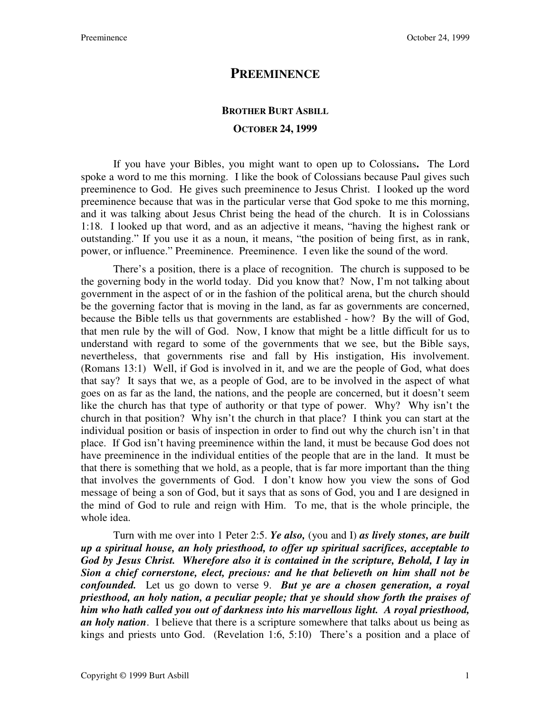## **PREEMINENCE**

## **BROTHER BURT ASBILL OCTOBER 24, 1999**

If you have your Bibles, you might want to open up to Colossians**.** The Lord spoke a word to me this morning. I like the book of Colossians because Paul gives such preeminence to God. He gives such preeminence to Jesus Christ. I looked up the word preeminence because that was in the particular verse that God spoke to me this morning, and it was talking about Jesus Christ being the head of the church. It is in Colossians 1:18. I looked up that word, and as an adjective it means, "having the highest rank or outstanding." If you use it as a noun, it means, "the position of being first, as in rank, power, or influence." Preeminence. Preeminence. I even like the sound of the word.

 There's a position, there is a place of recognition. The church is supposed to be the governing body in the world today. Did you know that? Now, I'm not talking about government in the aspect of or in the fashion of the political arena, but the church should be the governing factor that is moving in the land, as far as governments are concerned, because the Bible tells us that governments are established - how? By the will of God, that men rule by the will of God. Now, I know that might be a little difficult for us to understand with regard to some of the governments that we see, but the Bible says, nevertheless, that governments rise and fall by His instigation, His involvement. (Romans 13:1) Well, if God is involved in it, and we are the people of God, what does that say? It says that we, as a people of God, are to be involved in the aspect of what goes on as far as the land, the nations, and the people are concerned, but it doesn't seem like the church has that type of authority or that type of power. Why? Why isn't the church in that position? Why isn't the church in that place? I think you can start at the individual position or basis of inspection in order to find out why the church isn't in that place. If God isn't having preeminence within the land, it must be because God does not have preeminence in the individual entities of the people that are in the land. It must be that there is something that we hold, as a people, that is far more important than the thing that involves the governments of God. I don't know how you view the sons of God message of being a son of God, but it says that as sons of God, you and I are designed in the mind of God to rule and reign with Him. To me, that is the whole principle, the whole idea.

 Turn with me over into 1 Peter 2:5. *Ye also,* (you and I) *as lively stones, are built up a spiritual house, an holy priesthood, to offer up spiritual sacrifices, acceptable to God by Jesus Christ. Wherefore also it is contained in the scripture, Behold, I lay in Sion a chief cornerstone, elect, precious: and he that believeth on him shall not be confounded.* Let us go down to verse 9. *But ye are a chosen generation, a royal priesthood, an holy nation, a peculiar people; that ye should show forth the praises of him who hath called you out of darkness into his marvellous light. A royal priesthood, an holy nation*. I believe that there is a scripture somewhere that talks about us being as kings and priests unto God. (Revelation 1:6, 5:10) There's a position and a place of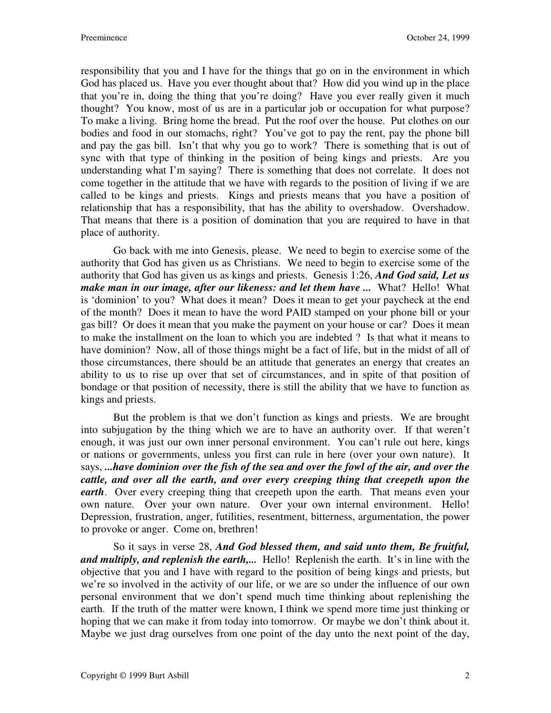responsibility that you and I have for the things that go on in the environment in which God has placed us. Have you ever thought about that? How did you wind up in the place that you're in, doing the thing that you're doing? Have you ever really given it much thought? You know, most of us are in a particular job or occupation for what purpose? To make a living. Bring home the bread. Put the roof over the house. Put clothes on our bodies and food in our stomachs, right? You've got to pay the rent, pay the phone bill and pay the gas bill. Isn't that why you go to work? There is something that is out of sync with that type of thinking in the position of being kings and priests. Are you understanding what I'm saying? There is something that does not correlate. It does not come together in the attitude that we have with regards to the position of living if we are called to be kings and priests. Kings and priests means that you have a position of relationship that has a responsibility, that has the ability to overshadow. Overshadow. That means that there is a position of domination that you are required to have in that place of authority.

 Go back with me into Genesis, please. We need to begin to exercise some of the authority that God has given us as Christians. We need to begin to exercise some of the authority that God has given us as kings and priests. Genesis 1:26, *And God said, Let us make man in our image, after our likeness: and let them have ...* What? Hello! What is 'dominion' to you? What does it mean? Does it mean to get your paycheck at the end of the month? Does it mean to have the word PAID stamped on your phone bill or your gas bill? Or does it mean that you make the payment on your house or car? Does it mean to make the installment on the loan to which you are indebted ? Is that what it means to have dominion? Now, all of those things might be a fact of life, but in the midst of all of those circumstances, there should be an attitude that generates an energy that creates an ability to us to rise up over that set of circumstances, and in spite of that position of bondage or that position of necessity, there is still the ability that we have to function as kings and priests.

 But the problem is that we don't function as kings and priests. We are brought into subjugation by the thing which we are to have an authority over. If that weren't enough, it was just our own inner personal environment. You can't rule out here, kings or nations or governments, unless you first can rule in here (over your own nature). It says, *...have dominion over the fish of the sea and over the fowl of the air, and over the cattle, and over all the earth, and over every creeping thing that creepeth upon the earth*. Over every creeping thing that creepeth upon the earth. That means even your own nature. Over your own nature. Over your own internal environment. Hello! Depression, frustration, anger, futilities, resentment, bitterness, argumentation, the power to provoke or anger. Come on, brethren!

 So it says in verse 28, *And God blessed them, and said unto them, Be fruitful, and multiply, and replenish the earth,...* Hello! Replenish the earth. It's in line with the objective that you and I have with regard to the position of being kings and priests, but we're so involved in the activity of our life, or we are so under the influence of our own personal environment that we don't spend much time thinking about replenishing the earth. If the truth of the matter were known, I think we spend more time just thinking or hoping that we can make it from today into tomorrow. Or maybe we don't think about it. Maybe we just drag ourselves from one point of the day unto the next point of the day,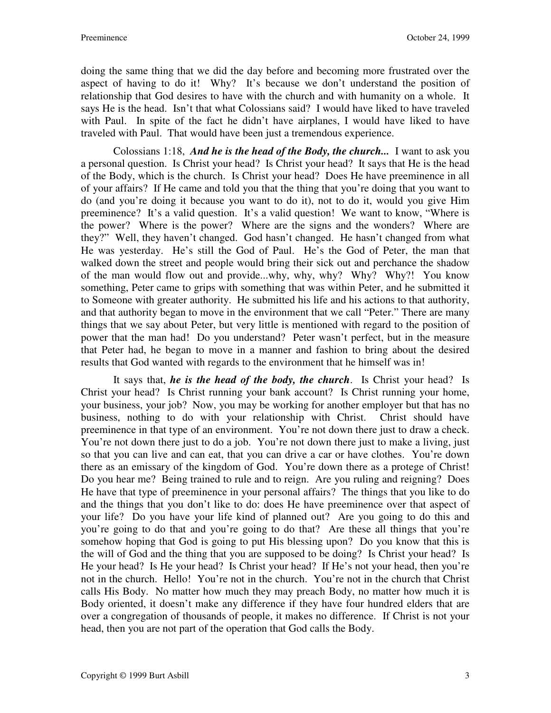doing the same thing that we did the day before and becoming more frustrated over the aspect of having to do it! Why? It's because we don't understand the position of relationship that God desires to have with the church and with humanity on a whole. It says He is the head. Isn't that what Colossians said? I would have liked to have traveled with Paul. In spite of the fact he didn't have airplanes, I would have liked to have traveled with Paul. That would have been just a tremendous experience.

 Colossians 1:18, *And he is the head of the Body, the church...* I want to ask you a personal question. Is Christ your head? Is Christ your head? It says that He is the head of the Body, which is the church. Is Christ your head? Does He have preeminence in all of your affairs? If He came and told you that the thing that you're doing that you want to do (and you're doing it because you want to do it), not to do it, would you give Him preeminence? It's a valid question. It's a valid question! We want to know, "Where is the power? Where is the power? Where are the signs and the wonders? Where are they?" Well, they haven't changed. God hasn't changed. He hasn't changed from what He was yesterday. He's still the God of Paul. He's the God of Peter, the man that walked down the street and people would bring their sick out and perchance the shadow of the man would flow out and provide...why, why, why? Why? Why?! You know something, Peter came to grips with something that was within Peter, and he submitted it to Someone with greater authority. He submitted his life and his actions to that authority, and that authority began to move in the environment that we call "Peter." There are many things that we say about Peter, but very little is mentioned with regard to the position of power that the man had! Do you understand? Peter wasn't perfect, but in the measure that Peter had, he began to move in a manner and fashion to bring about the desired results that God wanted with regards to the environment that he himself was in!

 It says that, *he is the head of the body, the church*. Is Christ your head? Is Christ your head? Is Christ running your bank account? Is Christ running your home, your business, your job? Now, you may be working for another employer but that has no business, nothing to do with your relationship with Christ. Christ should have preeminence in that type of an environment. You're not down there just to draw a check. You're not down there just to do a job. You're not down there just to make a living, just so that you can live and can eat, that you can drive a car or have clothes. You're down there as an emissary of the kingdom of God. You're down there as a protege of Christ! Do you hear me? Being trained to rule and to reign. Are you ruling and reigning? Does He have that type of preeminence in your personal affairs? The things that you like to do and the things that you don't like to do: does He have preeminence over that aspect of your life? Do you have your life kind of planned out? Are you going to do this and you're going to do that and you're going to do that? Are these all things that you're somehow hoping that God is going to put His blessing upon? Do you know that this is the will of God and the thing that you are supposed to be doing? Is Christ your head? Is He your head? Is He your head? Is Christ your head? If He's not your head, then you're not in the church. Hello! You're not in the church. You're not in the church that Christ calls His Body. No matter how much they may preach Body, no matter how much it is Body oriented, it doesn't make any difference if they have four hundred elders that are over a congregation of thousands of people, it makes no difference. If Christ is not your head, then you are not part of the operation that God calls the Body.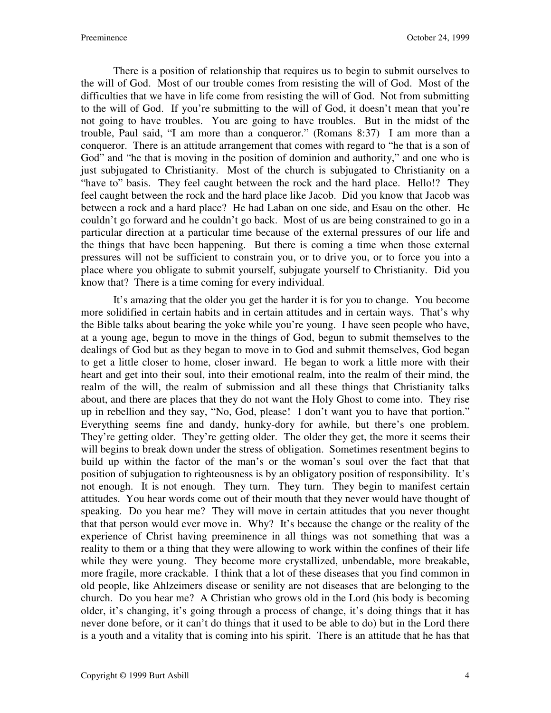There is a position of relationship that requires us to begin to submit ourselves to the will of God. Most of our trouble comes from resisting the will of God. Most of the difficulties that we have in life come from resisting the will of God. Not from submitting to the will of God. If you're submitting to the will of God, it doesn't mean that you're not going to have troubles. You are going to have troubles. But in the midst of the trouble, Paul said, "I am more than a conqueror." (Romans 8:37) I am more than a conqueror. There is an attitude arrangement that comes with regard to "he that is a son of God" and "he that is moving in the position of dominion and authority," and one who is just subjugated to Christianity. Most of the church is subjugated to Christianity on a "have to" basis. They feel caught between the rock and the hard place. Hello!? They feel caught between the rock and the hard place like Jacob. Did you know that Jacob was between a rock and a hard place? He had Laban on one side, and Esau on the other. He couldn't go forward and he couldn't go back. Most of us are being constrained to go in a particular direction at a particular time because of the external pressures of our life and the things that have been happening. But there is coming a time when those external pressures will not be sufficient to constrain you, or to drive you, or to force you into a place where you obligate to submit yourself, subjugate yourself to Christianity. Did you know that? There is a time coming for every individual.

 It's amazing that the older you get the harder it is for you to change. You become more solidified in certain habits and in certain attitudes and in certain ways. That's why the Bible talks about bearing the yoke while you're young. I have seen people who have, at a young age, begun to move in the things of God, begun to submit themselves to the dealings of God but as they began to move in to God and submit themselves, God began to get a little closer to home, closer inward. He began to work a little more with their heart and get into their soul, into their emotional realm, into the realm of their mind, the realm of the will, the realm of submission and all these things that Christianity talks about, and there are places that they do not want the Holy Ghost to come into. They rise up in rebellion and they say, "No, God, please! I don't want you to have that portion." Everything seems fine and dandy, hunky-dory for awhile, but there's one problem. They're getting older. They're getting older. The older they get, the more it seems their will begins to break down under the stress of obligation. Sometimes resentment begins to build up within the factor of the man's or the woman's soul over the fact that that position of subjugation to righteousness is by an obligatory position of responsibility. It's not enough. It is not enough. They turn. They turn. They begin to manifest certain attitudes. You hear words come out of their mouth that they never would have thought of speaking. Do you hear me? They will move in certain attitudes that you never thought that that person would ever move in. Why? It's because the change or the reality of the experience of Christ having preeminence in all things was not something that was a reality to them or a thing that they were allowing to work within the confines of their life while they were young. They become more crystallized, unbendable, more breakable, more fragile, more crackable. I think that a lot of these diseases that you find common in old people, like Ahlzeimers disease or senility are not diseases that are belonging to the church. Do you hear me? A Christian who grows old in the Lord (his body is becoming older, it's changing, it's going through a process of change, it's doing things that it has never done before, or it can't do things that it used to be able to do) but in the Lord there is a youth and a vitality that is coming into his spirit. There is an attitude that he has that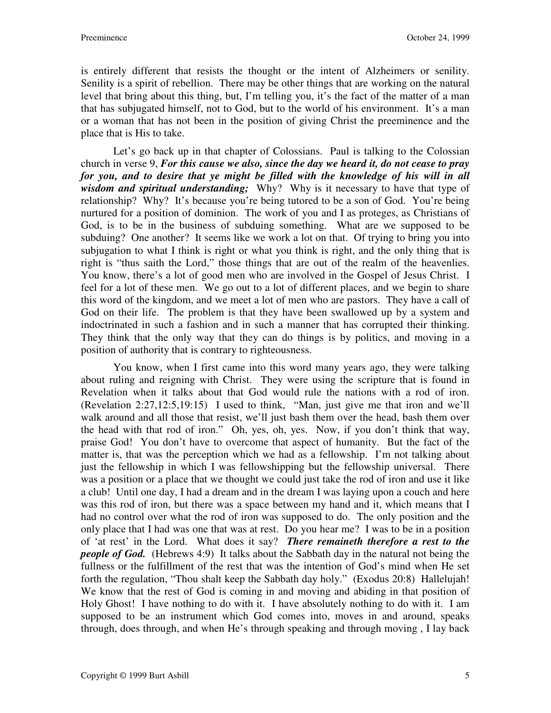is entirely different that resists the thought or the intent of Alzheimers or senility. Senility is a spirit of rebellion. There may be other things that are working on the natural level that bring about this thing, but, I'm telling you, it's the fact of the matter of a man that has subjugated himself, not to God, but to the world of his environment. It's a man or a woman that has not been in the position of giving Christ the preeminence and the place that is His to take.

 Let's go back up in that chapter of Colossians. Paul is talking to the Colossian church in verse 9, *For this cause we also, since the day we heard it, do not cease to pray for you, and to desire that ye might be filled with the knowledge of his will in all wisdom and spiritual understanding;* Why? Why is it necessary to have that type of relationship? Why? It's because you're being tutored to be a son of God. You're being nurtured for a position of dominion. The work of you and I as proteges, as Christians of God, is to be in the business of subduing something. What are we supposed to be subduing? One another? It seems like we work a lot on that. Of trying to bring you into subjugation to what I think is right or what you think is right, and the only thing that is right is "thus saith the Lord," those things that are out of the realm of the heavenlies. You know, there's a lot of good men who are involved in the Gospel of Jesus Christ. I feel for a lot of these men. We go out to a lot of different places, and we begin to share this word of the kingdom, and we meet a lot of men who are pastors. They have a call of God on their life. The problem is that they have been swallowed up by a system and indoctrinated in such a fashion and in such a manner that has corrupted their thinking. They think that the only way that they can do things is by politics, and moving in a position of authority that is contrary to righteousness.

 You know, when I first came into this word many years ago, they were talking about ruling and reigning with Christ. They were using the scripture that is found in Revelation when it talks about that God would rule the nations with a rod of iron. (Revelation 2:27,12:5,19:15) I used to think, "Man, just give me that iron and we'll walk around and all those that resist, we'll just bash them over the head, bash them over the head with that rod of iron." Oh, yes, oh, yes. Now, if you don't think that way, praise God! You don't have to overcome that aspect of humanity. But the fact of the matter is, that was the perception which we had as a fellowship. I'm not talking about just the fellowship in which I was fellowshipping but the fellowship universal. There was a position or a place that we thought we could just take the rod of iron and use it like a club! Until one day, I had a dream and in the dream I was laying upon a couch and here was this rod of iron, but there was a space between my hand and it, which means that I had no control over what the rod of iron was supposed to do. The only position and the only place that I had was one that was at rest. Do you hear me? I was to be in a position of 'at rest' in the Lord. What does it say? *There remaineth therefore a rest to the people of God.* (Hebrews 4:9) It talks about the Sabbath day in the natural not being the fullness or the fulfillment of the rest that was the intention of God's mind when He set forth the regulation, "Thou shalt keep the Sabbath day holy." (Exodus 20:8) Hallelujah! We know that the rest of God is coming in and moving and abiding in that position of Holy Ghost! I have nothing to do with it. I have absolutely nothing to do with it. I am supposed to be an instrument which God comes into, moves in and around, speaks through, does through, and when He's through speaking and through moving , I lay back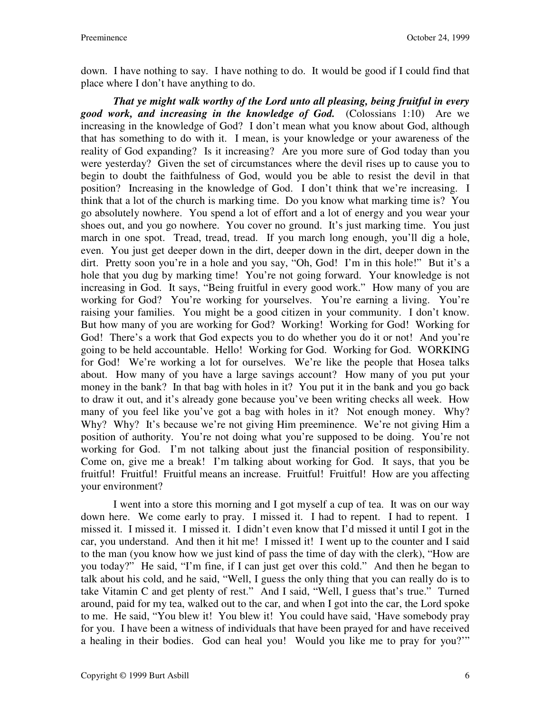down. I have nothing to say. I have nothing to do. It would be good if I could find that place where I don't have anything to do.

*That ye might walk worthy of the Lord unto all pleasing, being fruitful in every good work, and increasing in the knowledge of God.* (Colossians 1:10) Are we increasing in the knowledge of God? I don't mean what you know about God, although that has something to do with it. I mean, is your knowledge or your awareness of the reality of God expanding? Is it increasing? Are you more sure of God today than you were yesterday? Given the set of circumstances where the devil rises up to cause you to begin to doubt the faithfulness of God, would you be able to resist the devil in that position? Increasing in the knowledge of God. I don't think that we're increasing. I think that a lot of the church is marking time. Do you know what marking time is? You go absolutely nowhere. You spend a lot of effort and a lot of energy and you wear your shoes out, and you go nowhere. You cover no ground. It's just marking time. You just march in one spot. Tread, tread, tread. If you march long enough, you'll dig a hole, even. You just get deeper down in the dirt, deeper down in the dirt, deeper down in the dirt. Pretty soon you're in a hole and you say, "Oh, God! I'm in this hole!" But it's a hole that you dug by marking time! You're not going forward. Your knowledge is not increasing in God. It says, "Being fruitful in every good work." How many of you are working for God? You're working for yourselves. You're earning a living. You're raising your families. You might be a good citizen in your community. I don't know. But how many of you are working for God? Working! Working for God! Working for God! There's a work that God expects you to do whether you do it or not! And you're going to be held accountable. Hello! Working for God. Working for God. WORKING for God! We're working a lot for ourselves. We're like the people that Hosea talks about. How many of you have a large savings account? How many of you put your money in the bank? In that bag with holes in it? You put it in the bank and you go back to draw it out, and it's already gone because you've been writing checks all week. How many of you feel like you've got a bag with holes in it? Not enough money. Why? Why? Why? It's because we're not giving Him preeminence. We're not giving Him a position of authority. You're not doing what you're supposed to be doing. You're not working for God. I'm not talking about just the financial position of responsibility. Come on, give me a break! I'm talking about working for God. It says, that you be fruitful! Fruitful! Fruitful means an increase. Fruitful! Fruitful! How are you affecting your environment?

 I went into a store this morning and I got myself a cup of tea. It was on our way down here. We come early to pray. I missed it. I had to repent. I had to repent. I missed it. I missed it. I missed it. I didn't even know that I'd missed it until I got in the car, you understand. And then it hit me! I missed it! I went up to the counter and I said to the man (you know how we just kind of pass the time of day with the clerk), "How are you today?" He said, "I'm fine, if I can just get over this cold." And then he began to talk about his cold, and he said, "Well, I guess the only thing that you can really do is to take Vitamin C and get plenty of rest." And I said, "Well, I guess that's true." Turned around, paid for my tea, walked out to the car, and when I got into the car, the Lord spoke to me. He said, "You blew it! You blew it! You could have said, 'Have somebody pray for you. I have been a witness of individuals that have been prayed for and have received a healing in their bodies. God can heal you! Would you like me to pray for you?'"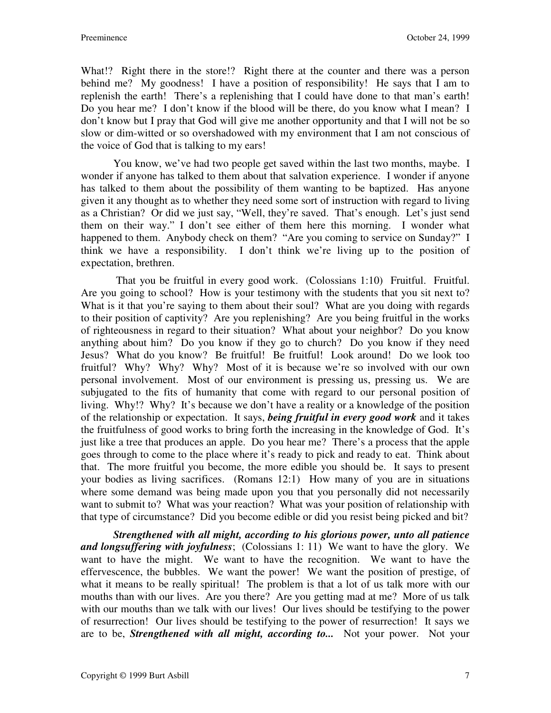What!? Right there in the store!? Right there at the counter and there was a person behind me? My goodness! I have a position of responsibility! He says that I am to replenish the earth! There's a replenishing that I could have done to that man's earth! Do you hear me? I don't know if the blood will be there, do you know what I mean? I don't know but I pray that God will give me another opportunity and that I will not be so slow or dim-witted or so overshadowed with my environment that I am not conscious of the voice of God that is talking to my ears!

 You know, we've had two people get saved within the last two months, maybe. I wonder if anyone has talked to them about that salvation experience. I wonder if anyone has talked to them about the possibility of them wanting to be baptized. Has anyone given it any thought as to whether they need some sort of instruction with regard to living as a Christian? Or did we just say, "Well, they're saved. That's enough. Let's just send them on their way." I don't see either of them here this morning. I wonder what happened to them. Anybody check on them? "Are you coming to service on Sunday?" I think we have a responsibility. I don't think we're living up to the position of expectation, brethren.

 That you be fruitful in every good work. (Colossians 1:10) Fruitful. Fruitful. Are you going to school? How is your testimony with the students that you sit next to? What is it that you're saying to them about their soul? What are you doing with regards to their position of captivity? Are you replenishing? Are you being fruitful in the works of righteousness in regard to their situation? What about your neighbor? Do you know anything about him? Do you know if they go to church? Do you know if they need Jesus? What do you know? Be fruitful! Be fruitful! Look around! Do we look too fruitful? Why? Why? Why? Most of it is because we're so involved with our own personal involvement. Most of our environment is pressing us, pressing us. We are subjugated to the fits of humanity that come with regard to our personal position of living. Why!? Why? It's because we don't have a reality or a knowledge of the position of the relationship or expectation. It says, *being fruitful in every good work* and it takes the fruitfulness of good works to bring forth the increasing in the knowledge of God. It's just like a tree that produces an apple. Do you hear me? There's a process that the apple goes through to come to the place where it's ready to pick and ready to eat. Think about that. The more fruitful you become, the more edible you should be. It says to present your bodies as living sacrifices. (Romans 12:1) How many of you are in situations where some demand was being made upon you that you personally did not necessarily want to submit to? What was your reaction? What was your position of relationship with that type of circumstance? Did you become edible or did you resist being picked and bit?

*Strengthened with all might, according to his glorious power, unto all patience and longsuffering with joyfulness*; (Colossians 1: 11) We want to have the glory. We want to have the might. We want to have the recognition. We want to have the effervescence, the bubbles. We want the power! We want the position of prestige, of what it means to be really spiritual! The problem is that a lot of us talk more with our mouths than with our lives. Are you there? Are you getting mad at me? More of us talk with our mouths than we talk with our lives! Our lives should be testifying to the power of resurrection! Our lives should be testifying to the power of resurrection! It says we are to be, *Strengthened with all might, according to...* Not your power. Not your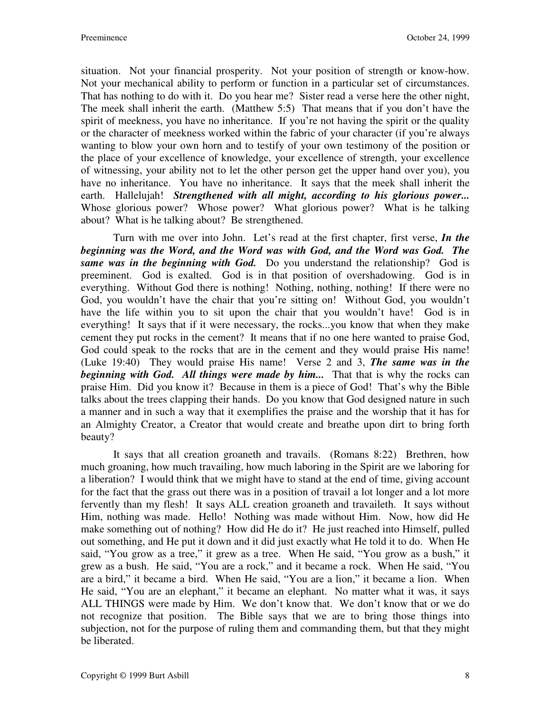situation. Not your financial prosperity. Not your position of strength or know-how. Not your mechanical ability to perform or function in a particular set of circumstances. That has nothing to do with it. Do you hear me? Sister read a verse here the other night, The meek shall inherit the earth. (Matthew 5:5) That means that if you don't have the spirit of meekness, you have no inheritance. If you're not having the spirit or the quality or the character of meekness worked within the fabric of your character (if you're always wanting to blow your own horn and to testify of your own testimony of the position or the place of your excellence of knowledge, your excellence of strength, your excellence of witnessing, your ability not to let the other person get the upper hand over you), you have no inheritance. You have no inheritance. It says that the meek shall inherit the earth. Hallelujah! *Strengthened with all might, according to his glorious power...* Whose glorious power? Whose power? What glorious power? What is he talking about? What is he talking about? Be strengthened.

 Turn with me over into John. Let's read at the first chapter, first verse, *In the beginning was the Word, and the Word was with God, and the Word was God. The same was in the beginning with God.* Do you understand the relationship? God is preeminent. God is exalted. God is in that position of overshadowing. God is in everything. Without God there is nothing! Nothing, nothing, nothing! If there were no God, you wouldn't have the chair that you're sitting on! Without God, you wouldn't have the life within you to sit upon the chair that you wouldn't have! God is in everything! It says that if it were necessary, the rocks...you know that when they make cement they put rocks in the cement? It means that if no one here wanted to praise God, God could speak to the rocks that are in the cement and they would praise His name! (Luke 19:40) They would praise His name! Verse 2 and 3, *The same was in the beginning with God. All things were made by him...* That that is why the rocks can praise Him. Did you know it? Because in them is a piece of God! That's why the Bible talks about the trees clapping their hands. Do you know that God designed nature in such a manner and in such a way that it exemplifies the praise and the worship that it has for an Almighty Creator, a Creator that would create and breathe upon dirt to bring forth beauty?

 It says that all creation groaneth and travails. (Romans 8:22) Brethren, how much groaning, how much travailing, how much laboring in the Spirit are we laboring for a liberation? I would think that we might have to stand at the end of time, giving account for the fact that the grass out there was in a position of travail a lot longer and a lot more fervently than my flesh! It says ALL creation groaneth and travaileth. It says without Him, nothing was made. Hello! Nothing was made without Him. Now, how did He make something out of nothing? How did He do it? He just reached into Himself, pulled out something, and He put it down and it did just exactly what He told it to do. When He said, "You grow as a tree," it grew as a tree. When He said, "You grow as a bush," it grew as a bush. He said, "You are a rock," and it became a rock. When He said, "You are a bird," it became a bird. When He said, "You are a lion," it became a lion. When He said, "You are an elephant," it became an elephant. No matter what it was, it says ALL THINGS were made by Him. We don't know that. We don't know that or we do not recognize that position. The Bible says that we are to bring those things into subjection, not for the purpose of ruling them and commanding them, but that they might be liberated.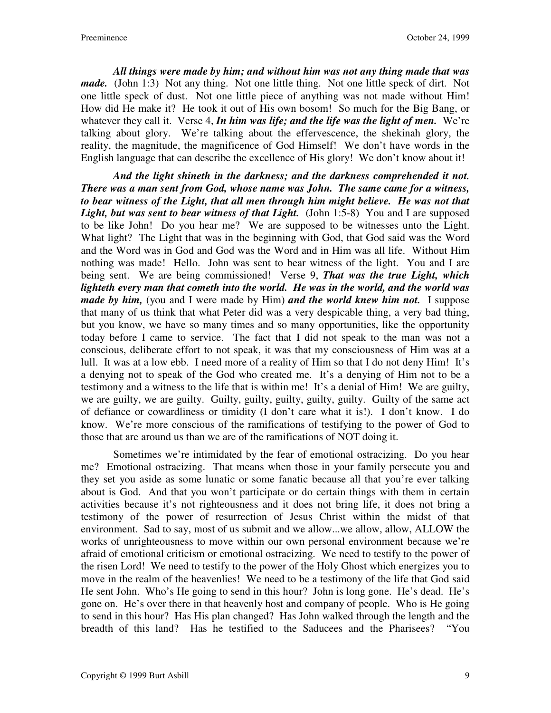*All things were made by him; and without him was not any thing made that was made.* (John 1:3) Not any thing. Not one little thing. Not one little speck of dirt. Not one little speck of dust. Not one little piece of anything was not made without Him! How did He make it? He took it out of His own bosom! So much for the Big Bang, or whatever they call it. Verse 4, *In him was life; and the life was the light of men.* We're talking about glory. We're talking about the effervescence, the shekinah glory, the reality, the magnitude, the magnificence of God Himself! We don't have words in the English language that can describe the excellence of His glory! We don't know about it!

*And the light shineth in the darkness; and the darkness comprehended it not. There was a man sent from God, whose name was John. The same came for a witness, to bear witness of the Light, that all men through him might believe. He was not that Light, but was sent to bear witness of that Light.* (John 1:5-8) You and I are supposed to be like John! Do you hear me? We are supposed to be witnesses unto the Light. What light? The Light that was in the beginning with God, that God said was the Word and the Word was in God and God was the Word and in Him was all life. Without Him nothing was made! Hello. John was sent to bear witness of the light. You and I are being sent. We are being commissioned! Verse 9, *That was the true Light, which lighteth every man that cometh into the world. He was in the world, and the world was made by him,* (you and I were made by Him) *and the world knew him not.* I suppose that many of us think that what Peter did was a very despicable thing, a very bad thing, but you know, we have so many times and so many opportunities, like the opportunity today before I came to service. The fact that I did not speak to the man was not a conscious, deliberate effort to not speak, it was that my consciousness of Him was at a lull. It was at a low ebb. I need more of a reality of Him so that I do not deny Him! It's a denying not to speak of the God who created me. It's a denying of Him not to be a testimony and a witness to the life that is within me! It's a denial of Him! We are guilty, we are guilty, we are guilty. Guilty, guilty, guilty, guilty, guilty. Guilty of the same act of defiance or cowardliness or timidity (I don't care what it is!). I don't know. I do know. We're more conscious of the ramifications of testifying to the power of God to those that are around us than we are of the ramifications of NOT doing it.

 Sometimes we're intimidated by the fear of emotional ostracizing. Do you hear me? Emotional ostracizing. That means when those in your family persecute you and they set you aside as some lunatic or some fanatic because all that you're ever talking about is God. And that you won't participate or do certain things with them in certain activities because it's not righteousness and it does not bring life, it does not bring a testimony of the power of resurrection of Jesus Christ within the midst of that environment. Sad to say, most of us submit and we allow...we allow, allow, ALLOW the works of unrighteousness to move within our own personal environment because we're afraid of emotional criticism or emotional ostracizing. We need to testify to the power of the risen Lord! We need to testify to the power of the Holy Ghost which energizes you to move in the realm of the heavenlies! We need to be a testimony of the life that God said He sent John. Who's He going to send in this hour? John is long gone. He's dead. He's gone on. He's over there in that heavenly host and company of people. Who is He going to send in this hour? Has His plan changed? Has John walked through the length and the breadth of this land? Has he testified to the Saducees and the Pharisees? "You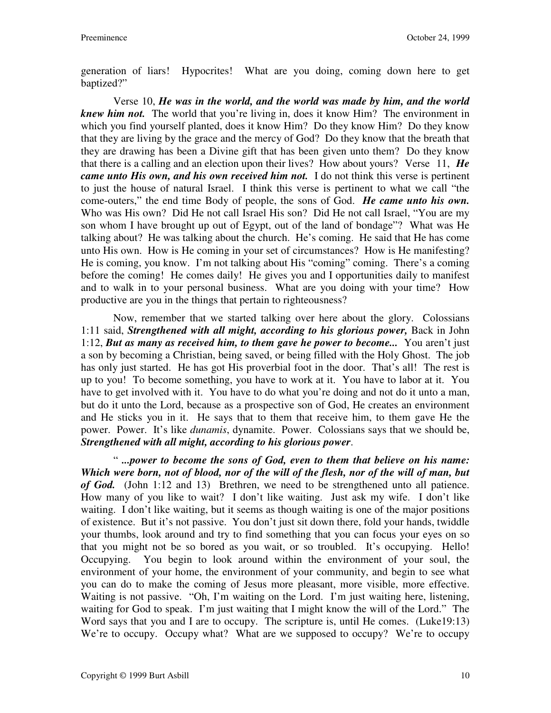generation of liars! Hypocrites! What are you doing, coming down here to get baptized?"

 Verse 10, *He was in the world, and the world was made by him, and the world knew him not.* The world that you're living in, does it know Him? The environment in which you find yourself planted, does it know Him? Do they know Him? Do they know that they are living by the grace and the mercy of God? Do they know that the breath that they are drawing has been a Divine gift that has been given unto them? Do they know that there is a calling and an election upon their lives? How about yours? Verse 11, *He came unto His own, and his own received him not.* I do not think this verse is pertinent to just the house of natural Israel. I think this verse is pertinent to what we call "the come-outers," the end time Body of people, the sons of God. *He came unto his own.* Who was His own? Did He not call Israel His son? Did He not call Israel, "You are my son whom I have brought up out of Egypt, out of the land of bondage"? What was He talking about? He was talking about the church. He's coming. He said that He has come unto His own. How is He coming in your set of circumstances? How is He manifesting? He is coming, you know. I'm not talking about His "coming" coming. There's a coming before the coming! He comes daily! He gives you and I opportunities daily to manifest and to walk in to your personal business. What are you doing with your time? How productive are you in the things that pertain to righteousness?

 Now, remember that we started talking over here about the glory. Colossians 1:11 said, *Strengthened with all might, according to his glorious power,* Back in John 1:12, *But as many as received him, to them gave he power to become...* You aren't just a son by becoming a Christian, being saved, or being filled with the Holy Ghost. The job has only just started. He has got His proverbial foot in the door. That's all! The rest is up to you! To become something, you have to work at it. You have to labor at it. You have to get involved with it. You have to do what you're doing and not do it unto a man, but do it unto the Lord, because as a prospective son of God, He creates an environment and He sticks you in it. He says that to them that receive him, to them gave He the power. Power. It's like *dunamis*, dynamite. Power. Colossians says that we should be, *Strengthened with all might, according to his glorious power*.

 " *...power to become the sons of God, even to them that believe on his name: Which were born, not of blood, nor of the will of the flesh, nor of the will of man, but of God.* (John 1:12 and 13) Brethren, we need to be strengthened unto all patience. How many of you like to wait? I don't like waiting. Just ask my wife. I don't like waiting. I don't like waiting, but it seems as though waiting is one of the major positions of existence. But it's not passive. You don't just sit down there, fold your hands, twiddle your thumbs, look around and try to find something that you can focus your eyes on so that you might not be so bored as you wait, or so troubled. It's occupying. Hello! Occupying. You begin to look around within the environment of your soul, the environment of your home, the environment of your community, and begin to see what you can do to make the coming of Jesus more pleasant, more visible, more effective. Waiting is not passive. "Oh, I'm waiting on the Lord. I'm just waiting here, listening, waiting for God to speak. I'm just waiting that I might know the will of the Lord." The Word says that you and I are to occupy. The scripture is, until He comes. (Luke19:13) We're to occupy. Occupy what? What are we supposed to occupy? We're to occupy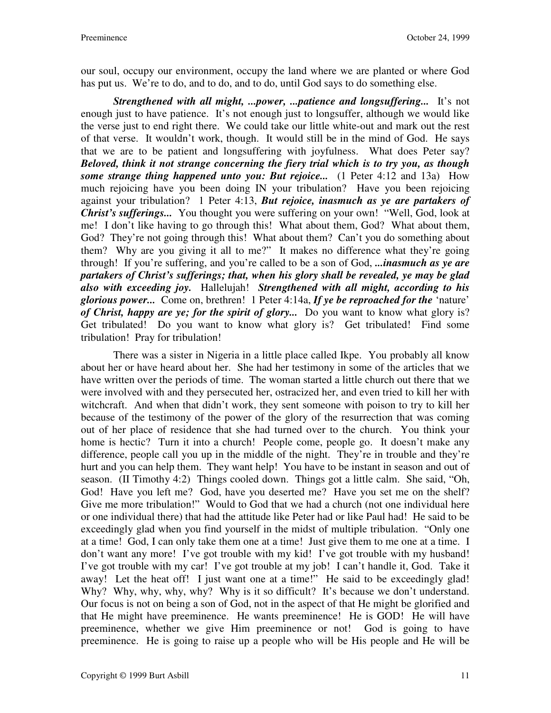our soul, occupy our environment, occupy the land where we are planted or where God has put us. We're to do, and to do, and to do, until God says to do something else.

*Strengthened with all might, ...power, ...patience and longsuffering...* It's not enough just to have patience. It's not enough just to longsuffer, although we would like the verse just to end right there. We could take our little white-out and mark out the rest of that verse. It wouldn't work, though. It would still be in the mind of God. He says that we are to be patient and longsuffering with joyfulness. What does Peter say? *Beloved, think it not strange concerning the fiery trial which is to try you, as though some strange thing happened unto you: But rejoice...* (1 Peter 4:12 and 13a) How much rejoicing have you been doing IN your tribulation? Have you been rejoicing against your tribulation? 1 Peter 4:13, *But rejoice, inasmuch as ye are partakers of Christ's sufferings...* You thought you were suffering on your own! "Well, God, look at me! I don't like having to go through this! What about them, God? What about them, God? They're not going through this! What about them? Can't you do something about them? Why are you giving it all to me?" It makes no difference what they're going through! If you're suffering, and you're called to be a son of God, *...inasmuch as ye are partakers of Christ's sufferings; that, when his glory shall be revealed, ye may be glad also with exceeding joy.* Hallelujah! *Strengthened with all might, according to his glorious power...* Come on, brethren! 1 Peter 4:14a, *If ye be reproached for the* 'nature' *of Christ, happy are ye; for the spirit of glory...* Do you want to know what glory is? Get tribulated! Do you want to know what glory is? Get tribulated! Find some tribulation! Pray for tribulation!

 There was a sister in Nigeria in a little place called Ikpe. You probably all know about her or have heard about her. She had her testimony in some of the articles that we have written over the periods of time. The woman started a little church out there that we were involved with and they persecuted her, ostracized her, and even tried to kill her with witchcraft. And when that didn't work, they sent someone with poison to try to kill her because of the testimony of the power of the glory of the resurrection that was coming out of her place of residence that she had turned over to the church. You think your home is hectic? Turn it into a church! People come, people go. It doesn't make any difference, people call you up in the middle of the night. They're in trouble and they're hurt and you can help them. They want help! You have to be instant in season and out of season. (II Timothy 4:2) Things cooled down. Things got a little calm. She said, "Oh, God! Have you left me? God, have you deserted me? Have you set me on the shelf? Give me more tribulation!" Would to God that we had a church (not one individual here or one individual there) that had the attitude like Peter had or like Paul had! He said to be exceedingly glad when you find yourself in the midst of multiple tribulation. "Only one at a time! God, I can only take them one at a time! Just give them to me one at a time. I don't want any more! I've got trouble with my kid! I've got trouble with my husband! I've got trouble with my car! I've got trouble at my job! I can't handle it, God. Take it away! Let the heat off! I just want one at a time!" He said to be exceedingly glad! Why? Why, why, why, why? Why is it so difficult? It's because we don't understand. Our focus is not on being a son of God, not in the aspect of that He might be glorified and that He might have preeminence. He wants preeminence! He is GOD! He will have preeminence, whether we give Him preeminence or not! God is going to have preeminence. He is going to raise up a people who will be His people and He will be